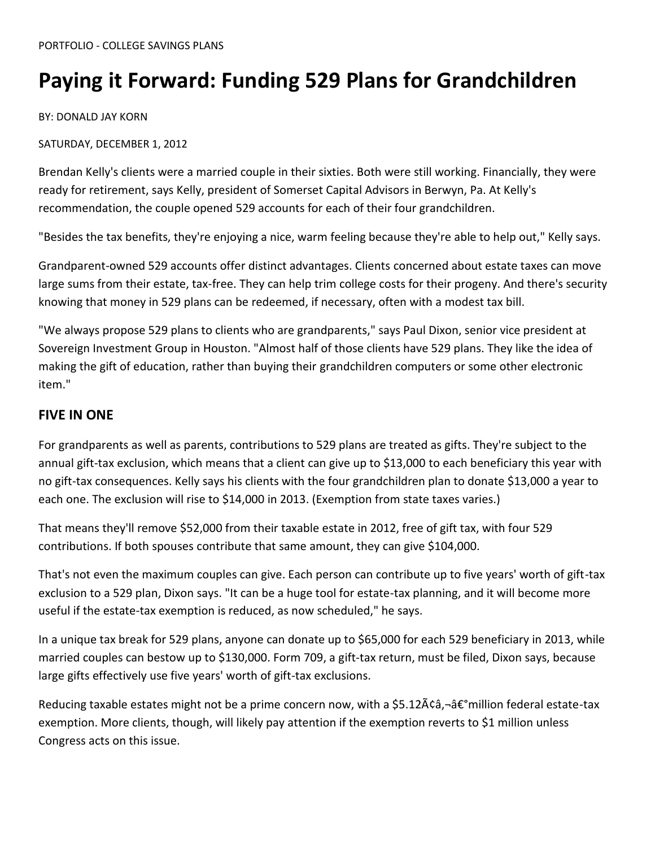# **Paying it Forward: Funding 529 Plans for Grandchildren**

BY: DONALD JAY KORN

SATURDAY, DECEMBER 1, 2012

Brendan Kelly's clients were a married couple in their sixties. Both were still working. Financially, they were ready for retirement, says Kelly, president of Somerset Capital Advisors in Berwyn, Pa. At Kelly's recommendation, the couple opened 529 accounts for each of their four grandchildren.

"Besides the tax benefits, they're enjoying a nice, warm feeling because they're able to help out," Kelly says.

Grandparent-owned 529 accounts offer distinct advantages. Clients concerned about estate taxes can move large sums from their estate, tax-free. They can help trim college costs for their progeny. And there's security knowing that money in 529 plans can be redeemed, if necessary, often with a modest tax bill.

"We always propose 529 plans to clients who are grandparents," says Paul Dixon, senior vice president at Sovereign Investment Group in Houston. "Almost half of those clients have 529 plans. They like the idea of making the gift of education, rather than buying their grandchildren computers or some other electronic item."

#### **FIVE IN ONE**

For grandparents as well as parents, contributions to 529 plans are treated as gifts. They're subject to the annual gift-tax exclusion, which means that a client can give up to \$13,000 to each beneficiary this year with no gift-tax consequences. Kelly says his clients with the four grandchildren plan to donate \$13,000 a year to each one. The exclusion will rise to \$14,000 in 2013. (Exemption from state taxes varies.)

That means they'll remove \$52,000 from their taxable estate in 2012, free of gift tax, with four 529 contributions. If both spouses contribute that same amount, they can give \$104,000.

That's not even the maximum couples can give. Each person can contribute up to five years' worth of gift-tax exclusion to a 529 plan, Dixon says. "It can be a huge tool for estate-tax planning, and it will become more useful if the estate-tax exemption is reduced, as now scheduled," he says.

In a unique tax break for 529 plans, anyone can donate up to \$65,000 for each 529 beneficiary in 2013, while married couples can bestow up to \$130,000. Form 709, a gift-tax return, must be filed, Dixon says, because large gifts effectively use five years' worth of gift-tax exclusions.

Reducing taxable estates might not be a prime concern now, with a \$5.12ââ,¬â€°million federal estate-tax exemption. More clients, though, will likely pay attention if the exemption reverts to \$1 million unless Congress acts on this issue.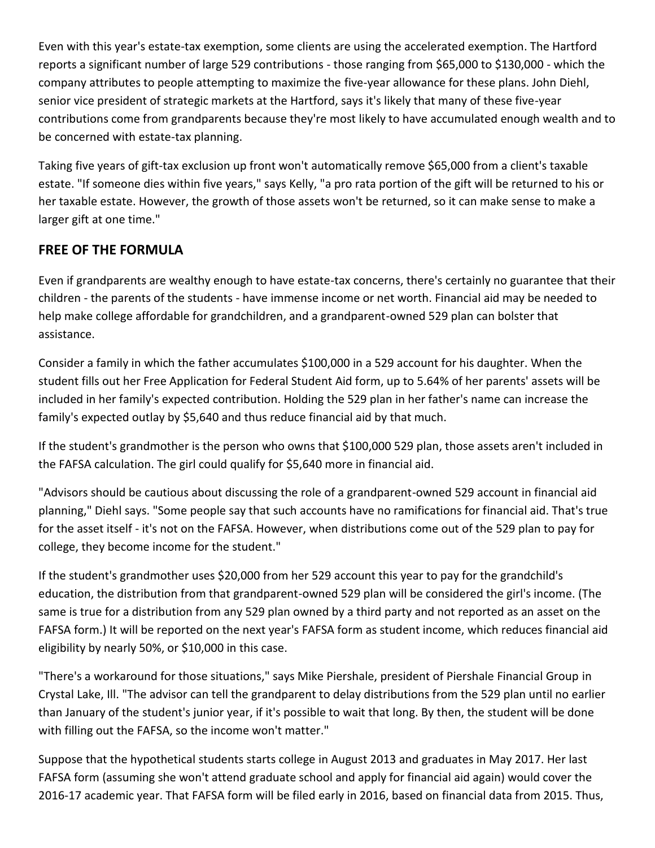Even with this year's estate-tax exemption, some clients are using the accelerated exemption. The Hartford reports a significant number of large 529 contributions - those ranging from \$65,000 to \$130,000 - which the company attributes to people attempting to maximize the five-year allowance for these plans. John Diehl, senior vice president of strategic markets at the Hartford, says it's likely that many of these five-year contributions come from grandparents because they're most likely to have accumulated enough wealth and to be concerned with estate-tax planning.

Taking five years of gift-tax exclusion up front won't automatically remove \$65,000 from a client's taxable estate. "If someone dies within five years," says Kelly, "a pro rata portion of the gift will be returned to his or her taxable estate. However, the growth of those assets won't be returned, so it can make sense to make a larger gift at one time."

### **FREE OF THE FORMULA**

Even if grandparents are wealthy enough to have estate-tax concerns, there's certainly no guarantee that their children - the parents of the students - have immense income or net worth. Financial aid may be needed to help make college affordable for grandchildren, and a grandparent-owned 529 plan can bolster that assistance.

Consider a family in which the father accumulates \$100,000 in a 529 account for his daughter. When the student fills out her Free Application for Federal Student Aid form, up to 5.64% of her parents' assets will be included in her family's expected contribution. Holding the 529 plan in her father's name can increase the family's expected outlay by \$5,640 and thus reduce financial aid by that much.

If the student's grandmother is the person who owns that \$100,000 529 plan, those assets aren't included in the FAFSA calculation. The girl could qualify for \$5,640 more in financial aid.

"Advisors should be cautious about discussing the role of a grandparent-owned 529 account in financial aid planning," Diehl says. "Some people say that such accounts have no ramifications for financial aid. That's true for the asset itself - it's not on the FAFSA. However, when distributions come out of the 529 plan to pay for college, they become income for the student."

If the student's grandmother uses \$20,000 from her 529 account this year to pay for the grandchild's education, the distribution from that grandparent-owned 529 plan will be considered the girl's income. (The same is true for a distribution from any 529 plan owned by a third party and not reported as an asset on the FAFSA form.) It will be reported on the next year's FAFSA form as student income, which reduces financial aid eligibility by nearly 50%, or \$10,000 in this case.

"There's a workaround for those situations," says Mike Piershale, president of Piershale Financial Group in Crystal Lake, Ill. "The advisor can tell the grandparent to delay distributions from the 529 plan until no earlier than January of the student's junior year, if it's possible to wait that long. By then, the student will be done with filling out the FAFSA, so the income won't matter."

Suppose that the hypothetical students starts college in August 2013 and graduates in May 2017. Her last FAFSA form (assuming she won't attend graduate school and apply for financial aid again) would cover the 2016-17 academic year. That FAFSA form will be filed early in 2016, based on financial data from 2015. Thus,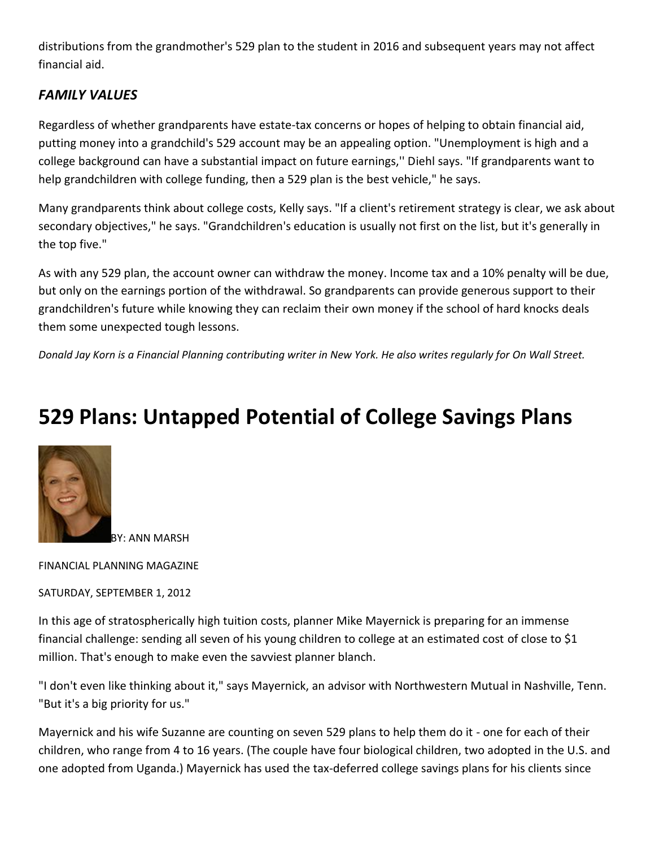distributions from the grandmother's 529 plan to the student in 2016 and subsequent years may not affect financial aid.

### *FAMILY VALUES*

Regardless of whether grandparents have estate-tax concerns or hopes of helping to obtain financial aid, putting money into a grandchild's 529 account may be an appealing option. "Unemployment is high and a college background can have a substantial impact on future earnings,'' Diehl says. "If grandparents want to help grandchildren with college funding, then a 529 plan is the best vehicle," he says.

Many grandparents think about college costs, Kelly says. "If a client's retirement strategy is clear, we ask about secondary objectives," he says. "Grandchildren's education is usually not first on the list, but it's generally in the top five."

As with any 529 plan, the account owner can withdraw the money. Income tax and a 10% penalty will be due, but only on the earnings portion of the withdrawal. So grandparents can provide generous support to their grandchildren's future while knowing they can reclaim their own money if the school of hard knocks deals them some unexpected tough lessons.

*Donald Jay Korn is a Financial Planning contributing writer in New York. He also writes regularly for On Wall Street.*

# **529 Plans: Untapped Potential of College Savings Plans**



BY: ANN MARSH

FINANCIAL PLANNING MAGAZINE

SATURDAY, SEPTEMBER 1, 2012

In this age of stratospherically high tuition costs, planner Mike Mayernick is preparing for an immense financial challenge: sending all seven of his young children to college at an estimated cost of close to \$1 million. That's enough to make even the savviest planner blanch.

"I don't even like thinking about it," says Mayernick, an advisor with Northwestern Mutual in Nashville, Tenn. "But it's a big priority for us."

Mayernick and his wife Suzanne are counting on seven 529 plans to help them do it - one for each of their children, who range from 4 to 16 years. (The couple have four biological children, two adopted in the U.S. and one adopted from Uganda.) Mayernick has used the tax-deferred college savings plans for his clients since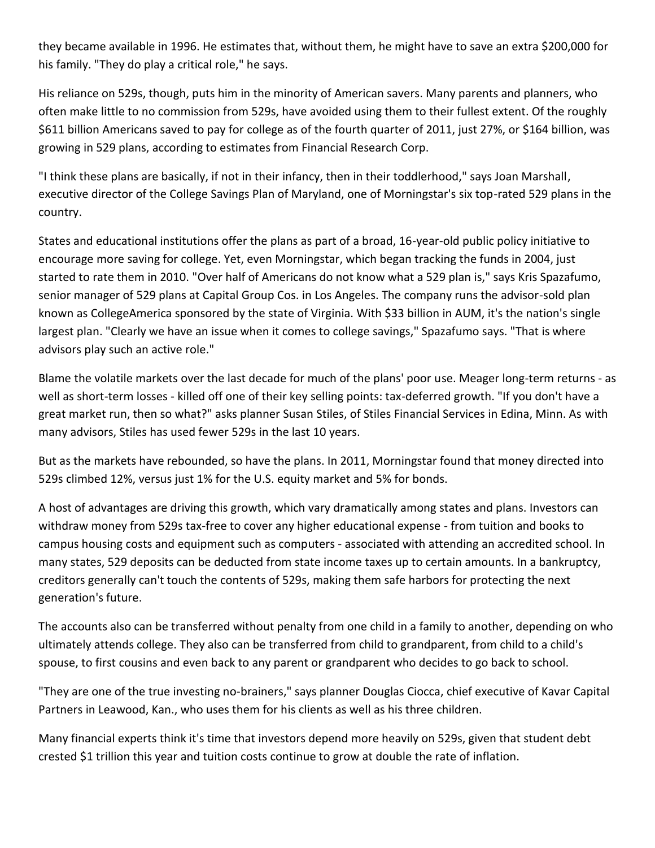they became available in 1996. He estimates that, without them, he might have to save an extra \$200,000 for his family. "They do play a critical role," he says.

His reliance on 529s, though, puts him in the minority of American savers. Many parents and planners, who often make little to no commission from 529s, have avoided using them to their fullest extent. Of the roughly \$611 billion Americans saved to pay for college as of the fourth quarter of 2011, just 27%, or \$164 billion, was growing in 529 plans, according to estimates from Financial Research Corp.

"I think these plans are basically, if not in their infancy, then in their toddlerhood," says Joan Marshall, executive director of the College Savings Plan of Maryland, one of Morningstar's six top-rated 529 plans in the country.

States and educational institutions offer the plans as part of a broad, 16-year-old public policy initiative to encourage more saving for college. Yet, even Morningstar, which began tracking the funds in 2004, just started to rate them in 2010. "Over half of Americans do not know what a 529 plan is," says Kris Spazafumo, senior manager of 529 plans at Capital Group Cos. in Los Angeles. The company runs the advisor-sold plan known as CollegeAmerica sponsored by the state of Virginia. With \$33 billion in AUM, it's the nation's single largest plan. "Clearly we have an issue when it comes to college savings," Spazafumo says. "That is where advisors play such an active role."

Blame the volatile markets over the last decade for much of the plans' poor use. Meager long-term returns - as well as short-term losses - killed off one of their key selling points: tax-deferred growth. "If you don't have a great market run, then so what?" asks planner Susan Stiles, of Stiles Financial Services in Edina, Minn. As with many advisors, Stiles has used fewer 529s in the last 10 years.

But as the markets have rebounded, so have the plans. In 2011, Morningstar found that money directed into 529s climbed 12%, versus just 1% for the U.S. equity market and 5% for bonds.

A host of advantages are driving this growth, which vary dramatically among states and plans. Investors can withdraw money from 529s tax-free to cover any higher educational expense - from tuition and books to campus housing costs and equipment such as computers - associated with attending an accredited school. In many states, 529 deposits can be deducted from state income taxes up to certain amounts. In a bankruptcy, creditors generally can't touch the contents of 529s, making them safe harbors for protecting the next generation's future.

The accounts also can be transferred without penalty from one child in a family to another, depending on who ultimately attends college. They also can be transferred from child to grandparent, from child to a child's spouse, to first cousins and even back to any parent or grandparent who decides to go back to school.

"They are one of the true investing no-brainers," says planner Douglas Ciocca, chief executive of Kavar Capital Partners in Leawood, Kan., who uses them for his clients as well as his three children.

Many financial experts think it's time that investors depend more heavily on 529s, given that student debt crested \$1 trillion this year and tuition costs continue to grow at double the rate of inflation.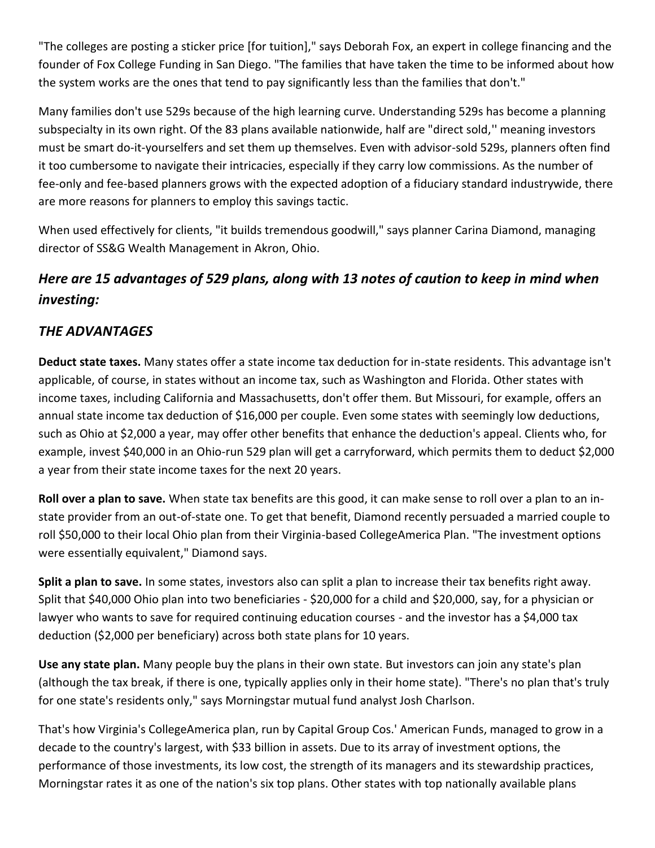"The colleges are posting a sticker price [for tuition]," says Deborah Fox, an expert in college financing and the founder of Fox College Funding in San Diego. "The families that have taken the time to be informed about how the system works are the ones that tend to pay significantly less than the families that don't."

Many families don't use 529s because of the high learning curve. Understanding 529s has become a planning subspecialty in its own right. Of the 83 plans available nationwide, half are "direct sold,'' meaning investors must be smart do-it-yourselfers and set them up themselves. Even with advisor-sold 529s, planners often find it too cumbersome to navigate their intricacies, especially if they carry low commissions. As the number of fee-only and fee-based planners grows with the expected adoption of a fiduciary standard industrywide, there are more reasons for planners to employ this savings tactic.

When used effectively for clients, "it builds tremendous goodwill," says planner Carina Diamond, managing director of SS&G Wealth Management in Akron, Ohio.

## *Here are 15 advantages of 529 plans, along with 13 notes of caution to keep in mind when investing:*

## *THE ADVANTAGES*

**Deduct state taxes.** Many states offer a state income tax deduction for in-state residents. This advantage isn't applicable, of course, in states without an income tax, such as Washington and Florida. Other states with income taxes, including California and Massachusetts, don't offer them. But Missouri, for example, offers an annual state income tax deduction of \$16,000 per couple. Even some states with seemingly low deductions, such as Ohio at \$2,000 a year, may offer other benefits that enhance the deduction's appeal. Clients who, for example, invest \$40,000 in an Ohio-run 529 plan will get a carryforward, which permits them to deduct \$2,000 a year from their state income taxes for the next 20 years.

**Roll over a plan to save.** When state tax benefits are this good, it can make sense to roll over a plan to an instate provider from an out-of-state one. To get that benefit, Diamond recently persuaded a married couple to roll \$50,000 to their local Ohio plan from their Virginia-based CollegeAmerica Plan. "The investment options were essentially equivalent," Diamond says.

**Split a plan to save.** In some states, investors also can split a plan to increase their tax benefits right away. Split that \$40,000 Ohio plan into two beneficiaries - \$20,000 for a child and \$20,000, say, for a physician or lawyer who wants to save for required continuing education courses - and the investor has a \$4,000 tax deduction (\$2,000 per beneficiary) across both state plans for 10 years.

**Use any state plan.** Many people buy the plans in their own state. But investors can join any state's plan (although the tax break, if there is one, typically applies only in their home state). "There's no plan that's truly for one state's residents only," says Morningstar mutual fund analyst Josh Charlson.

That's how Virginia's CollegeAmerica plan, run by Capital Group Cos.' American Funds, managed to grow in a decade to the country's largest, with \$33 billion in assets. Due to its array of investment options, the performance of those investments, its low cost, the strength of its managers and its stewardship practices, Morningstar rates it as one of the nation's six top plans. Other states with top nationally available plans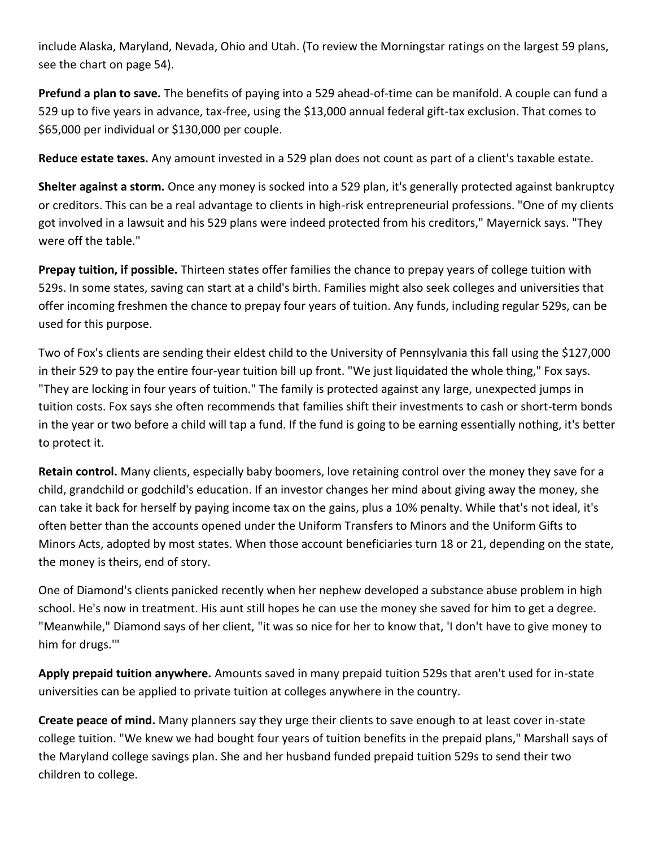include Alaska, Maryland, Nevada, Ohio and Utah. (To review the Morningstar ratings on the largest 59 plans, see the chart on page 54).

**Prefund a plan to save.** The benefits of paying into a 529 ahead-of-time can be manifold. A couple can fund a 529 up to five years in advance, tax-free, using the \$13,000 annual federal gift-tax exclusion. That comes to \$65,000 per individual or \$130,000 per couple.

**Reduce estate taxes.** Any amount invested in a 529 plan does not count as part of a client's taxable estate.

**Shelter against a storm.** Once any money is socked into a 529 plan, it's generally protected against bankruptcy or creditors. This can be a real advantage to clients in high-risk entrepreneurial professions. "One of my clients got involved in a lawsuit and his 529 plans were indeed protected from his creditors," Mayernick says. "They were off the table."

**Prepay tuition, if possible.** Thirteen states offer families the chance to prepay years of college tuition with 529s. In some states, saving can start at a child's birth. Families might also seek colleges and universities that offer incoming freshmen the chance to prepay four years of tuition. Any funds, including regular 529s, can be used for this purpose.

Two of Fox's clients are sending their eldest child to the University of Pennsylvania this fall using the \$127,000 in their 529 to pay the entire four-year tuition bill up front. "We just liquidated the whole thing," Fox says. "They are locking in four years of tuition." The family is protected against any large, unexpected jumps in tuition costs. Fox says she often recommends that families shift their investments to cash or short-term bonds in the year or two before a child will tap a fund. If the fund is going to be earning essentially nothing, it's better to protect it.

**Retain control.** Many clients, especially baby boomers, love retaining control over the money they save for a child, grandchild or godchild's education. If an investor changes her mind about giving away the money, she can take it back for herself by paying income tax on the gains, plus a 10% penalty. While that's not ideal, it's often better than the accounts opened under the Uniform Transfers to Minors and the Uniform Gifts to Minors Acts, adopted by most states. When those account beneficiaries turn 18 or 21, depending on the state, the money is theirs, end of story.

One of Diamond's clients panicked recently when her nephew developed a substance abuse problem in high school. He's now in treatment. His aunt still hopes he can use the money she saved for him to get a degree. "Meanwhile," Diamond says of her client, "it was so nice for her to know that, 'I don't have to give money to him for drugs.'"

**Apply prepaid tuition anywhere.** Amounts saved in many prepaid tuition 529s that aren't used for in-state universities can be applied to private tuition at colleges anywhere in the country.

**Create peace of mind.** Many planners say they urge their clients to save enough to at least cover in-state college tuition. "We knew we had bought four years of tuition benefits in the prepaid plans," Marshall says of the Maryland college savings plan. She and her husband funded prepaid tuition 529s to send their two children to college.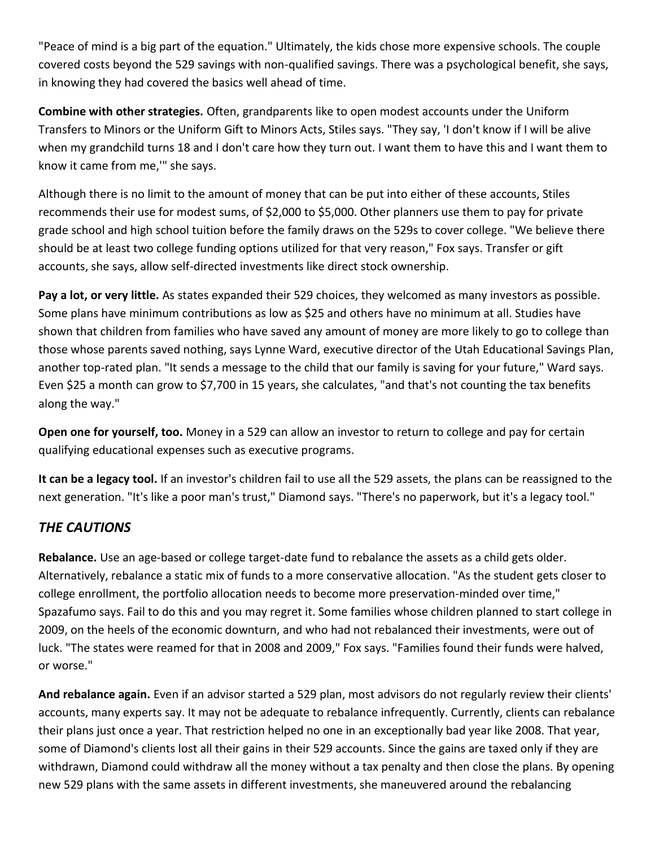"Peace of mind is a big part of the equation." Ultimately, the kids chose more expensive schools. The couple covered costs beyond the 529 savings with non-qualified savings. There was a psychological benefit, she says, in knowing they had covered the basics well ahead of time.

**Combine with other strategies.** Often, grandparents like to open modest accounts under the Uniform Transfers to Minors or the Uniform Gift to Minors Acts, Stiles says. "They say, 'I don't know if I will be alive when my grandchild turns 18 and I don't care how they turn out. I want them to have this and I want them to know it came from me,'" she says.

Although there is no limit to the amount of money that can be put into either of these accounts, Stiles recommends their use for modest sums, of \$2,000 to \$5,000. Other planners use them to pay for private grade school and high school tuition before the family draws on the 529s to cover college. "We believe there should be at least two college funding options utilized for that very reason," Fox says. Transfer or gift accounts, she says, allow self-directed investments like direct stock ownership.

**Pay a lot, or very little.** As states expanded their 529 choices, they welcomed as many investors as possible. Some plans have minimum contributions as low as \$25 and others have no minimum at all. Studies have shown that children from families who have saved any amount of money are more likely to go to college than those whose parents saved nothing, says Lynne Ward, executive director of the Utah Educational Savings Plan, another top-rated plan. "It sends a message to the child that our family is saving for your future," Ward says. Even \$25 a month can grow to \$7,700 in 15 years, she calculates, "and that's not counting the tax benefits along the way."

**Open one for yourself, too.** Money in a 529 can allow an investor to return to college and pay for certain qualifying educational expenses such as executive programs.

**It can be a legacy tool.** If an investor's children fail to use all the 529 assets, the plans can be reassigned to the next generation. "It's like a poor man's trust," Diamond says. "There's no paperwork, but it's a legacy tool."

## *THE CAUTIONS*

**Rebalance.** Use an age-based or college target-date fund to rebalance the assets as a child gets older. Alternatively, rebalance a static mix of funds to a more conservative allocation. "As the student gets closer to college enrollment, the portfolio allocation needs to become more preservation-minded over time," Spazafumo says. Fail to do this and you may regret it. Some families whose children planned to start college in 2009, on the heels of the economic downturn, and who had not rebalanced their investments, were out of luck. "The states were reamed for that in 2008 and 2009," Fox says. "Families found their funds were halved, or worse."

**And rebalance again.** Even if an advisor started a 529 plan, most advisors do not regularly review their clients' accounts, many experts say. It may not be adequate to rebalance infrequently. Currently, clients can rebalance their plans just once a year. That restriction helped no one in an exceptionally bad year like 2008. That year, some of Diamond's clients lost all their gains in their 529 accounts. Since the gains are taxed only if they are withdrawn, Diamond could withdraw all the money without a tax penalty and then close the plans. By opening new 529 plans with the same assets in different investments, she maneuvered around the rebalancing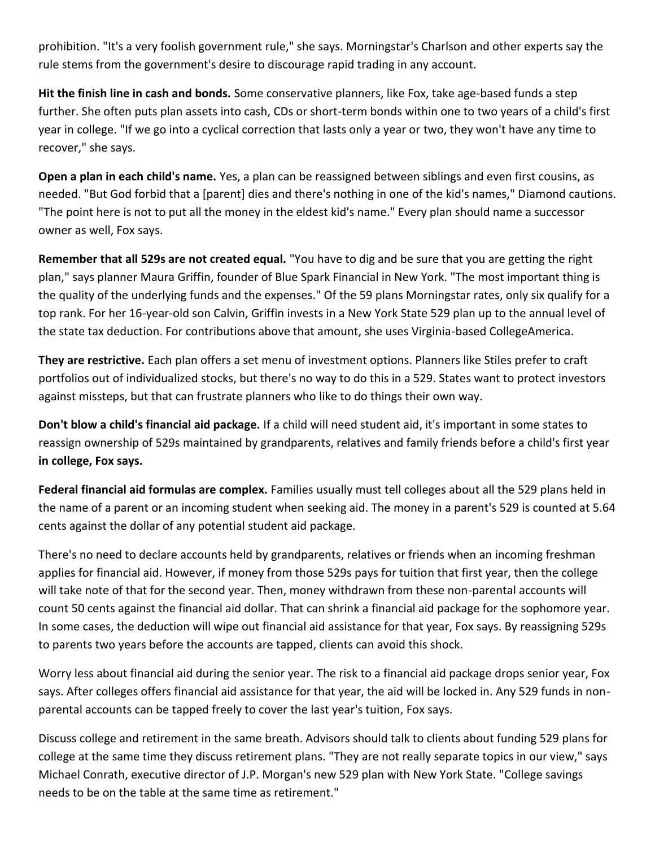prohibition. "It's a very foolish government rule," she says. Morningstar's Charlson and other experts say the rule stems from the government's desire to discourage rapid trading in any account.

**Hit the finish line in cash and bonds.** Some conservative planners, like Fox, take age-based funds a step further. She often puts plan assets into cash, CDs or short-term bonds within one to two years of a child's first year in college. "If we go into a cyclical correction that lasts only a year or two, they won't have any time to recover," she says.

**Open a plan in each child's name.** Yes, a plan can be reassigned between siblings and even first cousins, as needed. "But God forbid that a [parent] dies and there's nothing in one of the kid's names," Diamond cautions. "The point here is not to put all the money in the eldest kid's name." Every plan should name a successor owner as well, Fox says.

**Remember that all 529s are not created equal.** "You have to dig and be sure that you are getting the right plan," says planner Maura Griffin, founder of Blue Spark Financial in New York. "The most important thing is the quality of the underlying funds and the expenses." Of the 59 plans Morningstar rates, only six qualify for a top rank. For her 16-year-old son Calvin, Griffin invests in a New York State 529 plan up to the annual level of the state tax deduction. For contributions above that amount, she uses Virginia-based CollegeAmerica.

**They are restrictive.** Each plan offers a set menu of investment options. Planners like Stiles prefer to craft portfolios out of individualized stocks, but there's no way to do this in a 529. States want to protect investors against missteps, but that can frustrate planners who like to do things their own way.

**Don't blow a child's financial aid package.** If a child will need student aid, it's important in some states to reassign ownership of 529s maintained by grandparents, relatives and family friends before a child's first year **in college, Fox says.**

**Federal financial aid formulas are complex.** Families usually must tell colleges about all the 529 plans held in the name of a parent or an incoming student when seeking aid. The money in a parent's 529 is counted at 5.64 cents against the dollar of any potential student aid package.

There's no need to declare accounts held by grandparents, relatives or friends when an incoming freshman applies for financial aid. However, if money from those 529s pays for tuition that first year, then the college will take note of that for the second year. Then, money withdrawn from these non-parental accounts will count 50 cents against the financial aid dollar. That can shrink a financial aid package for the sophomore year. In some cases, the deduction will wipe out financial aid assistance for that year, Fox says. By reassigning 529s to parents two years before the accounts are tapped, clients can avoid this shock.

Worry less about financial aid during the senior year. The risk to a financial aid package drops senior year, Fox says. After colleges offers financial aid assistance for that year, the aid will be locked in. Any 529 funds in nonparental accounts can be tapped freely to cover the last year's tuition, Fox says.

Discuss college and retirement in the same breath. Advisors should talk to clients about funding 529 plans for college at the same time they discuss retirement plans. "They are not really separate topics in our view," says Michael Conrath, executive director of J.P. Morgan's new 529 plan with New York State. "College savings needs to be on the table at the same time as retirement."